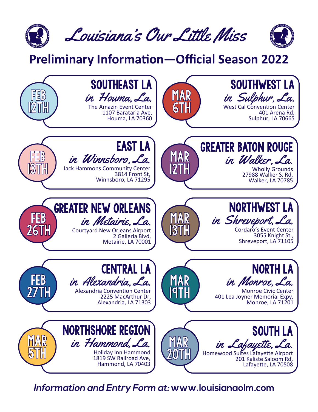

#### **Preliminary Information—Official Season 2022**



Information and Entry Form at: www.louisianaolm.com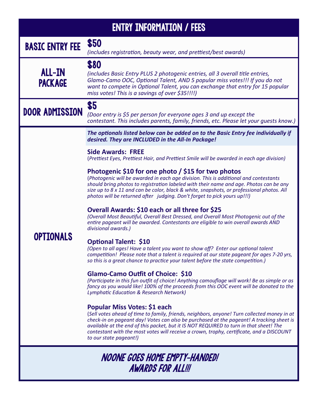| <b>ENTRY INFORMATION / FEES</b>                           |                                                                                                                                                                                                                                                                                                                                                                                                                                         |  |  |
|-----------------------------------------------------------|-----------------------------------------------------------------------------------------------------------------------------------------------------------------------------------------------------------------------------------------------------------------------------------------------------------------------------------------------------------------------------------------------------------------------------------------|--|--|
| <b>BASIC ENTRY FEE</b>                                    | \$50<br>(includes registration, beauty wear, and prettiest/best awards)                                                                                                                                                                                                                                                                                                                                                                 |  |  |
| <b>ALL-IN</b><br><b>PACKAGE</b>                           | \$80<br>(includes Basic Entry PLUS 2 photogenic entries, all 3 overall title entries,<br>Glamo-Camo OOC, Optional Talent, AND 5 popular miss votes!!! If you do not<br>want to compete in Optional Talent, you can exchange that entry for 15 popular<br>miss votes! This is a savings of over \$35!!!!)                                                                                                                                |  |  |
| <b>DOOR ADMISSION</b>                                     | \$5<br>(Door entry is \$5 per person for everyone ages 3 and up except the<br>contestant. This includes parents, family, friends, etc. Please let your quests know.)                                                                                                                                                                                                                                                                    |  |  |
|                                                           | The optionals listed below can be added on to the Basic Entry fee individually if<br>desired. They are INCLUDED in the All-In Package!                                                                                                                                                                                                                                                                                                  |  |  |
|                                                           | <b>Side Awards: FREE</b><br>(Prettiest Eyes, Prettiest Hair, and Prettiest Smile will be awarded in each age division)                                                                                                                                                                                                                                                                                                                  |  |  |
| <b>OPTIONALS</b>                                          | Photogenic \$10 for one photo / \$15 for two photos<br>(Photogenic will be awarded in each age division. This is additional and contestants<br>should bring photos to registration labeled with their name and age. Photos can be any<br>size up to 8 x 11 and can be color, black & white, snapshots, or professional photos. All<br>photos will be returned after judging. Don't forget to pick yours up!!!)                          |  |  |
|                                                           | Overall Awards: \$10 each or all three for \$25<br>(Overall Most Beautiful, Overall Best Dressed, and Overall Most Photogenic out of the<br>entire pageant will be awarded. Contestants are eligible to win overall awards AND<br>divisional awards.)                                                                                                                                                                                   |  |  |
|                                                           | <b>Optional Talent: \$10</b><br>(Open to all ages! Have a talent you want to show off? Enter our optional talent<br>competition! Please note that a talent is required at our state pageant for ages 7-20 yrs,<br>so this is a great chance to practice your talent before the state competition.)                                                                                                                                      |  |  |
|                                                           | <b>Glamo-Camo Outfit of Choice: \$10</b><br>(Participate in this fun outfit of choice! Anything camouflage will work! Be as simple or as<br>fancy as you would like! 100% of the proceeds from this OOC event will be donated to the<br><b>Lymphatic Education &amp; Research Network)</b>                                                                                                                                              |  |  |
|                                                           | Popular Miss Votes: \$1 each<br>(Sell votes ahead of time to family, friends, neighbors, anyone! Turn collected money in at<br>check-in on pageant day! Votes can also be purchased at the pageant! A tracking sheet is<br>available at the end of this packet, but it IS NOT REQUIRED to turn in that sheet! The<br>contestant with the most votes will receive a crown, trophy, certificate, and a DISCOUNT<br>to our state pageant!) |  |  |
| NOONE GOES HOME EMPTY-HANDED!<br><b>AWARDS FOR ALL!!!</b> |                                                                                                                                                                                                                                                                                                                                                                                                                                         |  |  |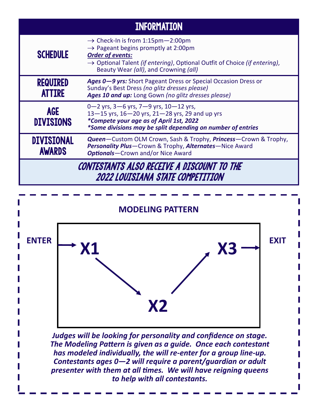| <b>INFORMATION</b>                                                             |                                                                                                                                                                                                                                                                                |  |
|--------------------------------------------------------------------------------|--------------------------------------------------------------------------------------------------------------------------------------------------------------------------------------------------------------------------------------------------------------------------------|--|
| <b>SCHEDULE</b>                                                                | $\rightarrow$ Check-In is from 1:15pm - 2:00pm<br>$\rightarrow$ Pageant begins promptly at 2:00pm<br><b>Order of events:</b><br>$\rightarrow$ Optional Talent <i>(if entering)</i> , Optional Outfit of Choice <i>(if entering)</i> ,<br>Beauty Wear (all), and Crowning (all) |  |
| <b>REQUIRED</b><br><b>ATTIRE</b>                                               | Ages 0-9 yrs: Short Pageant Dress or Special Occasion Dress or<br>Sunday's Best Dress (no glitz dresses please)<br>Ages 10 and up: Long Gown (no glitz dresses please)                                                                                                         |  |
| <b>AGE</b><br><b>DIVISIONS</b>                                                 | 0-2 yrs, $3-6$ yrs, $7-9$ yrs, $10-12$ yrs,<br>$13 - 15$ yrs, $16 - 20$ yrs, $21 - 28$ yrs, 29 and up yrs<br>*Compete your age as of April 1st, 2022<br>*Some divisions may be split depending on number of entries                                                            |  |
| <b>DIVISIONAL</b><br><b>AWARDS</b>                                             | <b>Queen</b> —Custom OLM Crown, Sash & Trophy, <b>Princess</b> —Crown & Trophy,<br><b>Personality Plus</b> —Crown & Trophy, <b>Alternates</b> —Nice Award<br><b>Optionals</b> -Crown and/or Nice Award                                                                         |  |
| CONTESTANTS ALSO RECEIVE A DISCOUNT TO THE<br>2022 LOUISIANA STATE COMPETITION |                                                                                                                                                                                                                                                                                |  |



*Judges will be looking for personality and confidence on stage. The Modeling Pattern is given as a guide. Once each contestant has modeled individually, the will re-enter for a group line-up. Contestants ages 0—2 will require a parent/guardian or adult presenter with them at all times. We will have reigning queens to help with all contestants.*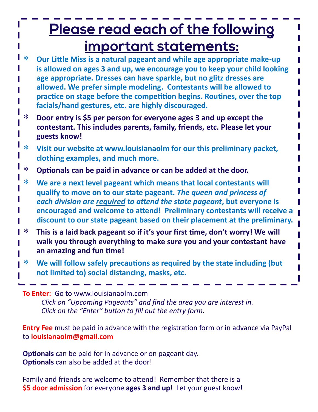# Please read each of the following <u>important statements:</u>

- **Our Little Miss is a natural pageant and while age appropriate make-up is allowed on ages 3 and up, we encourage you to keep your child looking age appropriate. Dresses can have sparkle, but no glitz dresses are allowed. We prefer simple modeling. Contestants will be allowed to practice on stage before the competition begins. Routines, over the top facials/hand gestures, etc. are highly discouraged.**
- **Door entry is \$5 per person for everyone ages 3 and up except the contestant. This includes parents, family, friends, etc. Please let your guests know!**
- **Visit our website at www.louisianaolm for our this preliminary packet, clothing examples, and much more.**
- **Optionals can be paid in advance or can be added at the door.**
- **We are a next level pageant which means that local contestants will qualify to move on to our state pageant.** *The queen and princess of each division are required to attend the state pageant***, but everyone is encouraged and welcome to attend! Preliminary contestants will receive a discount to our state pageant based on their placement at the preliminary.**
- **This is a laid back pageant so if it's your first time, don't worry! We will walk you through everything to make sure you and your contestant have an amazing and fun time!**
- **We will follow safely precautions as required by the state including (but not limited to) social distancing, masks, etc.**

**To Enter:** Go to www.louisianaolm.com *Click on "Upcoming Pageants" and find the area you are interest in. Click on the "Enter" button to fill out the entry form.*

**Entry Fee** must be paid in advance with the registration form or in advance via PayPal to **louisianaolm@gmail.com**

**Optionals** can be paid for in advance or on pageant day. **Optionals** can also be added at the door!

Family and friends are welcome to attend! Remember that there is a **\$5 door admission** for everyone **ages 3 and up**! Let your guest know!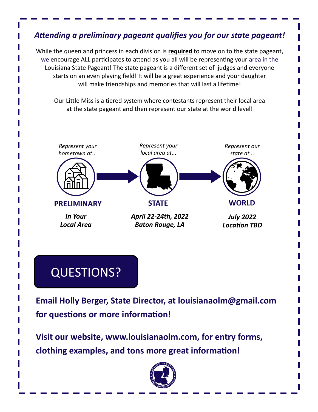#### *Attending a preliminary pageant qualifies you for our state pageant!*

While the queen and princess in each division is **required** to move on to the state pageant, we encourage ALL participates to attend as you all will be representing your area in the Louisiana State Pageant! The state pageant is a different set of judges and everyone starts on an even playing field! It will be a great experience and your daughter will make friendships and memories that will last a lifetime!

Our Little Miss is a tiered system where contestants represent their local area at the state pageant and then represent our state at the world level!



## QUESTIONS?

**Email Holly Berger, State Director, at louisianaolm@gmail.com for questions or more information!**

**Visit our website, www.louisianaolm.com, for entry forms, clothing examples, and tons more great information!**